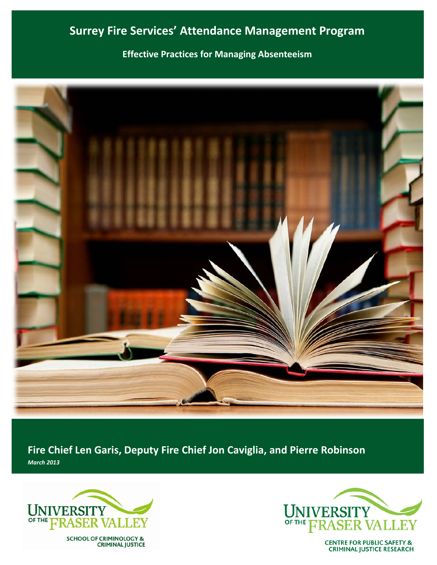# **Surrey Fire Services' Attendance Management Program**

**Effective Practices for Managing Absenteeism**



**Fire Chief Len Garis, Deputy Fire Chief Jon Caviglia, and Pierre Robinson** *March 2013*



SCHOOL OF CRIMINOLOGY &<br>CRIMINAL JUSTICE



**CENTRE FOR PUBLIC SAFETY & CRIMINAL JUSTICE RESEARCH**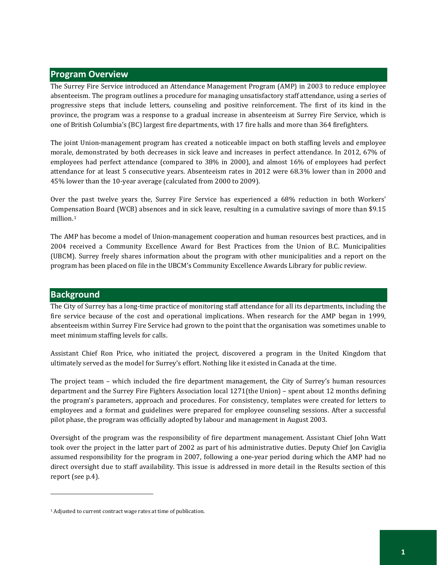## **Program Overview**

The Surrey Fire Service introduced an Attendance Management Program (AMP) in 2003 to reduce employee absenteeism. The program outlines a procedure for managing unsatisfactory staff attendance, using a series of progressive steps that include letters, counseling and positive reinforcement. The first of its kind in the province, the program was a response to a gradual increase in absenteeism at Surrey Fire Service, which is one of British Columbia's (BC) largest fire departments, with 17 fire halls and more than 364 firefighters.

The joint Union-management program has created a noticeable impact on both staffing levels and employee morale, demonstrated by both decreases in sick leave and increases in perfect attendance. In 2012, 67% of employees had perfect attendance (compared to 38% in 2000), and almost 16% of employees had perfect attendance for at least 5 consecutive years. Absenteeism rates in 2012 were 68.3% lower than in 2000 and 45% lower than the 10-year average (calculated from 2000 to 2009).

Over the past twelve years the, Surrey Fire Service has experienced a 68% reduction in both Workers' Compensation Board (WCB) absences and in sick leave, resulting in a cumulative savings of more than \$9.15 million.[1](#page-2-0)

The AMP has become a model of Union-management cooperation and human resources best practices, and in 2004 received a Community Excellence Award for Best Practices from the Union of B.C. Municipalities (UBCM). Surrey freely shares information about the program with other municipalities and a report on the program has been placed on file in the UBCM's Community Excellence Awards Library for public review.

# **Background**

 $\overline{a}$ 

The City of Surrey has a long-time practice of monitoring staff attendance for all its departments, including the fire service because of the cost and operational implications. When research for the AMP began in 1999, absenteeism within Surrey Fire Service had grown to the point that the organisation was sometimes unable to meet minimum staffing levels for calls.

Assistant Chief Ron Price, who initiated the project, discovered a program in the United Kingdom that ultimately served as the model for Surrey's effort. Nothing like it existed in Canada at the time.

The project team – which included the fire department management, the City of Surrey's human resources department and the Surrey Fire Fighters Association local 1271(the Union) – spent about 12 months defining the program's parameters, approach and procedures. For consistency, templates were created for letters to employees and a format and guidelines were prepared for employee counseling sessions. After a successful pilot phase, the program was officially adopted by labour and management in August 2003.

Oversight of the program was the responsibility of fire department management. Assistant Chief John Watt took over the project in the latter part of 2002 as part of his administrative duties. Deputy Chief Jon Caviglia assumed responsibility for the program in 2007, following a one-year period during which the AMP had no direct oversight due to staff availability. This issue is addressed in more detail in the Results section of this report (see p[.4\)](#page-5-0).

<span id="page-2-0"></span><sup>1</sup> Adjusted to current contract wage rates at time of publication.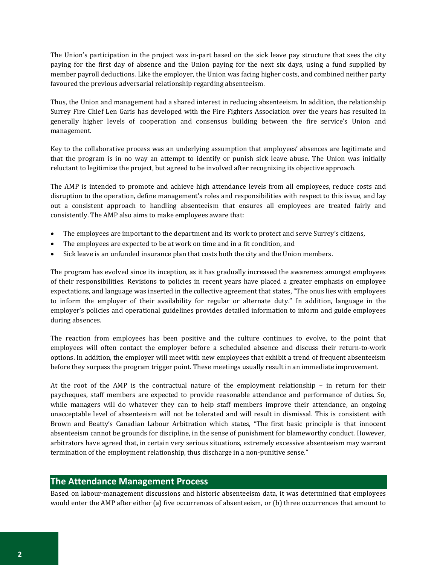The Union's participation in the project was in-part based on the sick leave pay structure that sees the city paying for the first day of absence and the Union paying for the next six days, using a fund supplied by member payroll deductions. Like the employer, the Union was facing higher costs, and combined neither party favoured the previous adversarial relationship regarding absenteeism.

Thus, the Union and management had a shared interest in reducing absenteeism. In addition, the relationship Surrey Fire Chief Len Garis has developed with the Fire Fighters Association over the years has resulted in generally higher levels of cooperation and consensus building between the fire service's Union and management.

Key to the collaborative process was an underlying assumption that employees' absences are legitimate and that the program is in no way an attempt to identify or punish sick leave abuse. The Union was initially reluctant to legitimize the project, but agreed to be involved after recognizing its objective approach.

The AMP is intended to promote and achieve high attendance levels from all employees, reduce costs and disruption to the operation, define management's roles and responsibilities with respect to this issue, and lay out a consistent approach to handling absenteeism that ensures all employees are treated fairly and consistently. The AMP also aims to make employees aware that:

- The employees are important to the department and its work to protect and serve Surrey's citizens,
- The employees are expected to be at work on time and in a fit condition, and
- Sick leave is an unfunded insurance plan that costs both the city and the Union members.

The program has evolved since its inception, as it has gradually increased the awareness amongst employees of their responsibilities. Revisions to policies in recent years have placed a greater emphasis on employee expectations, and language was inserted in the collective agreement that states, "The onus lies with employees to inform the employer of their availability for regular or alternate duty." In addition, language in the employer's policies and operational guidelines provides detailed information to inform and guide employees during absences.

The reaction from employees has been positive and the culture continues to evolve, to the point that employees will often contact the employer before a scheduled absence and discuss their return-to-work options. In addition, the employer will meet with new employees that exhibit a trend of frequent absenteeism before they surpass the program trigger point. These meetings usually result in an immediate improvement.

At the root of the AMP is the contractual nature of the employment relationship – in return for their paycheques, staff members are expected to provide reasonable attendance and performance of duties. So, while managers will do whatever they can to help staff members improve their attendance, an ongoing unacceptable level of absenteeism will not be tolerated and will result in dismissal. This is consistent with Brown and Beatty's Canadian Labour Arbitration which states, "The first basic principle is that innocent absenteeism cannot be grounds for discipline, in the sense of punishment for blameworthy conduct. However, arbitrators have agreed that, in certain very serious situations, extremely excessive absenteeism may warrant termination of the employment relationship, thus discharge in a non-punitive sense."

# **The Attendance Management Process**

Based on labour-management discussions and historic absenteeism data, it was determined that employees would enter the AMP after either (a) five occurrences of absenteeism, or (b) three occurrences that amount to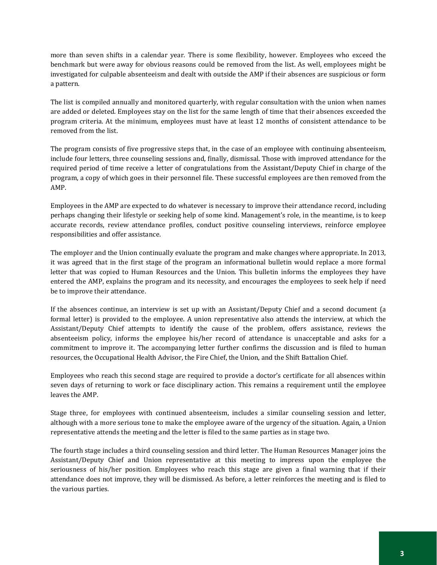more than seven shifts in a calendar year. There is some flexibility, however. Employees who exceed the benchmark but were away for obvious reasons could be removed from the list. As well, employees might be investigated for culpable absenteeism and dealt with outside the AMP if their absences are suspicious or form a pattern.

The list is compiled annually and monitored quarterly, with regular consultation with the union when names are added or deleted. Employees stay on the list for the same length of time that their absences exceeded the program criteria. At the minimum, employees must have at least 12 months of consistent attendance to be removed from the list.

The program consists of five progressive steps that, in the case of an employee with continuing absenteeism, include four letters, three counseling sessions and, finally, dismissal. Those with improved attendance for the required period of time receive a letter of congratulations from the Assistant/Deputy Chief in charge of the program, a copy of which goes in their personnel file. These successful employees are then removed from the AMP.

Employees in the AMP are expected to do whatever is necessary to improve their attendance record, including perhaps changing their lifestyle or seeking help of some kind. Management's role, in the meantime, is to keep accurate records, review attendance profiles, conduct positive counseling interviews, reinforce employee responsibilities and offer assistance.

The employer and the Union continually evaluate the program and make changes where appropriate. In 2013, it was agreed that in the first stage of the program an informational bulletin would replace a more formal letter that was copied to Human Resources and the Union. This bulletin informs the employees they have entered the AMP, explains the program and its necessity, and encourages the employees to seek help if need be to improve their attendance.

If the absences continue, an interview is set up with an Assistant/Deputy Chief and a second document (a formal letter) is provided to the employee. A union representative also attends the interview, at which the Assistant/Deputy Chief attempts to identify the cause of the problem, offers assistance, reviews the absenteeism policy, informs the employee his/her record of attendance is unacceptable and asks for a commitment to improve it. The accompanying letter further confirms the discussion and is filed to human resources, the Occupational Health Advisor, the Fire Chief, the Union, and the Shift Battalion Chief.

Employees who reach this second stage are required to provide a doctor's certificate for all absences within seven days of returning to work or face disciplinary action. This remains a requirement until the employee leaves the AMP.

Stage three, for employees with continued absenteeism, includes a similar counseling session and letter, although with a more serious tone to make the employee aware of the urgency of the situation. Again, a Union representative attends the meeting and the letter is filed to the same parties as in stage two.

The fourth stage includes a third counseling session and third letter. The Human Resources Manager joins the Assistant/Deputy Chief and Union representative at this meeting to impress upon the employee the seriousness of his/her position. Employees who reach this stage are given a final warning that if their attendance does not improve, they will be dismissed. As before, a letter reinforces the meeting and is filed to the various parties.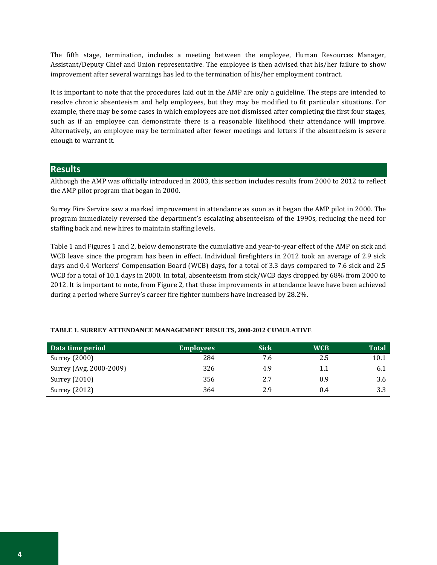The fifth stage, termination, includes a meeting between the employee, Human Resources Manager, Assistant/Deputy Chief and Union representative. The employee is then advised that his/her failure to show improvement after several warnings has led to the termination of his/her employment contract.

It is important to note that the procedures laid out in the AMP are only a guideline. The steps are intended to resolve chronic absenteeism and help employees, but they may be modified to fit particular situations. For example, there may be some cases in which employees are not dismissed after completing the first four stages, such as if an employee can demonstrate there is a reasonable likelihood their attendance will improve. Alternatively, an employee may be terminated after fewer meetings and letters if the absenteeism is severe enough to warrant it.

## <span id="page-5-0"></span>**Results**

Although the AMP was officially introduced in 2003, this section includes results from 2000 to 2012 to reflect the AMP pilot program that began in 2000.

Surrey Fire Service saw a marked improvement in attendance as soon as it began the AMP pilot in 2000. The program immediately reversed the department's escalating absenteeism of the 1990s, reducing the need for staffing back and new hires to maintain staffing levels.

Table 1 and Figures 1 and 2, below demonstrate the cumulative and year-to-year effect of the AMP on sick and WCB leave since the program has been in effect. Individual firefighters in 2012 took an average of 2.9 sick days and 0.4 Workers' Compensation Board (WCB) days, for a total of 3.3 days compared to 7.6 sick and 2.5 WCB for a total of 10.1 days in 2000. In total, absenteeism from sick/WCB days dropped by 68% from 2000 to 2012. It is important to note, from Figure 2, that these improvements in attendance leave have been achieved during a period where Surrey's career fire fighter numbers have increased by 28.2%.

| Data time period        | <b>Employees</b> | <b>Sick</b> | <b>WCB</b> | Total |
|-------------------------|------------------|-------------|------------|-------|
| Surrey (2000)           | 284              | 7.6         | 2.5        | 10.1  |
| Surrey (Avg. 2000-2009) | 326              | 4.9         | 1.1        | 6.1   |
| Surrey (2010)           | 356              | 2.7         | 0.9        | 3.6   |
| Surrey (2012)           | 364              | 2.9         | 0.4        | 3.3   |

### **TABLE 1. SURREY ATTENDANCE MANAGEMENT RESULTS, 2000-2012 CUMULATIVE**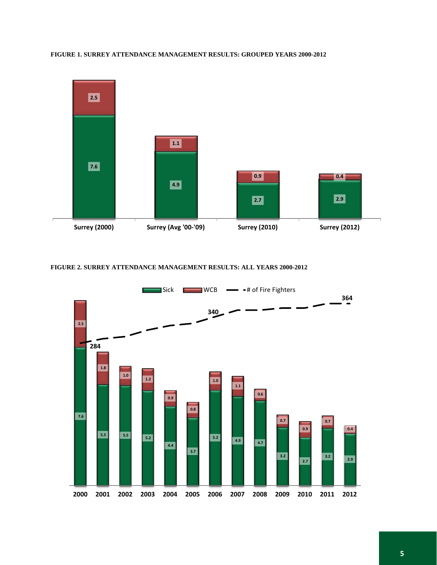

#### **FIGURE 1. SURREY ATTENDANCE MANAGEMENT RESULTS: GROUPED YEARS 2000-2012**

### **FIGURE 2. SURREY ATTENDANCE MANAGEMENT RESULTS: ALL YEARS 2000-2012**

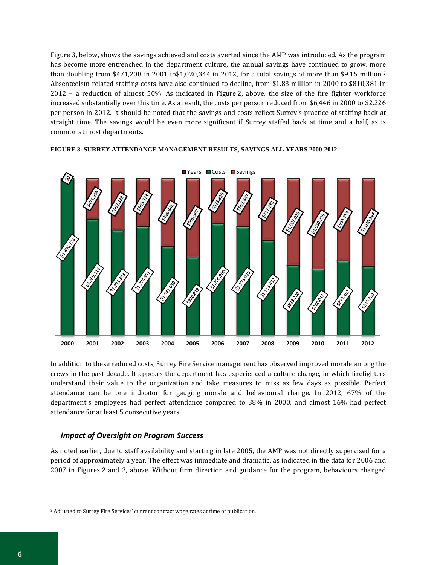Figure 3, below, shows the savings achieved and costs averted since the AMP was introduced. As the program has become more entrenched in the department culture, the annual savings have continued to grow, more than doubling from \$471,208 in 2001 to\$1,020,344 in 2012, for a total savings of more than \$9.15 million.[2](#page-7-0) Absenteeism-related staffing costs have also continued to decline, from \$1.83 million in 2000 to \$810,381 in 2012 – a reduction of almost 50%. As indicated in Figure 2, above, the size of the fire fighter workforce increased substantially over this time. As a result, the costs per person reduced from \$6,446 in 2000 to \$2,226 per person in 2012. It should be noted that the savings and costs reflect Surrey's practice of staffing back at straight time. The savings would be even more significant if Surrey staffed back at time and a half, as is common at most departments.



#### **FIGURE 3. SURREY ATTENDANCE MANAGEMENT RESULTS, SAVINGS ALL YEARS 2000-2012**

In addition to these reduced costs, Surrey Fire Service management has observed improved morale among the crews in the past decade. It appears the department has experienced a culture change, in which firefighters understand their value to the organization and take measures to miss as few days as possible. Perfect attendance can be one indicator for gauging morale and behavioural change. In 2012, 67% of the department's employees had perfect attendance compared to 38% in 2000, and almost 16% had perfect attendance for at least 5 consecutive years.

### *Impact of Oversight on Program Success*

As noted earlier, due to staff availability and starting in late 2005, the AMP was not directly supervised for a period of approximately a year. The effect was immediate and dramatic, as indicated in the data for 2006 and 2007 in Figures 2 and 3, above. Without firm direction and guidance for the program, behaviours changed

 $\overline{a}$ 

<span id="page-7-0"></span><sup>2</sup> Adjusted to Surrey Fire Services' current contract wage rates at time of publication.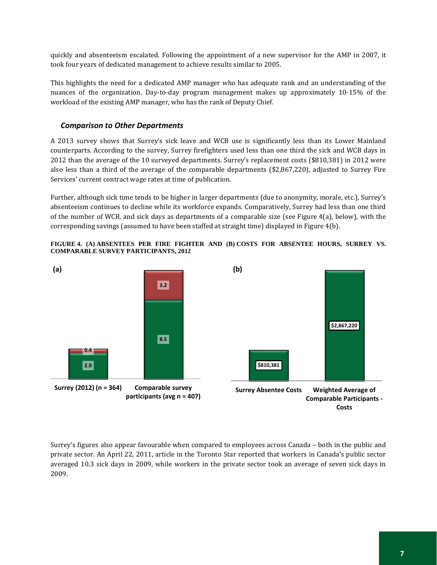quickly and absenteeism escalated. Following the appointment of a new supervisor for the AMP in 2007, it took four years of dedicated management to achieve results similar to 2005.

This highlights the need for a dedicated AMP manager who has adequate rank and an understanding of the nuances of the organization. Day-to-day program management makes up approximately 10-15% of the workload of the existing AMP manager, who has the rank of Deputy Chief.

# *Comparison to Other Departments*

A 2013 survey shows that Surrey's sick leave and WCB use is significantly less than its Lower Mainland counterparts. According to the survey, Surrey firefighters used less than one third the sick and WCB days in 2012 than the average of the 10 surveyed departments. Surrey's replacement costs (\$810,381) in 2012 were also less than a third of the average of the comparable departments (\$2,867,220), adjusted to Surrey Fire Services' current contract wage rates at time of publication.

Further, although sick time tends to be higher in larger departments (due to anonymity, morale, etc.), Surrey's absenteeism continues to decline while its workforce expands. Comparatively, Surrey had less than one third of the number of WCB, and sick days as departments of a comparable size (see Figure 4(a), below), with the corresponding savings (assumed to have been staffed at straight time) displayed in Figure 4(b).

### **FIGURE 4. (A) ABSENTEES PER FIRE FIGHTER AND (B) COSTS FOR ABSENTEE HOURS, SURREY VS. COMPARABLE SURVEY PARTICIPANTS, 2012**



Surrey's figures also appear favourable when compared to employees across Canada – both in the public and private sector. An April 22, 2011, article in the Toronto Star reported that workers in Canada's public sector averaged 10.3 sick days in 2009, while workers in the private sector took an average of seven sick days in 2009.